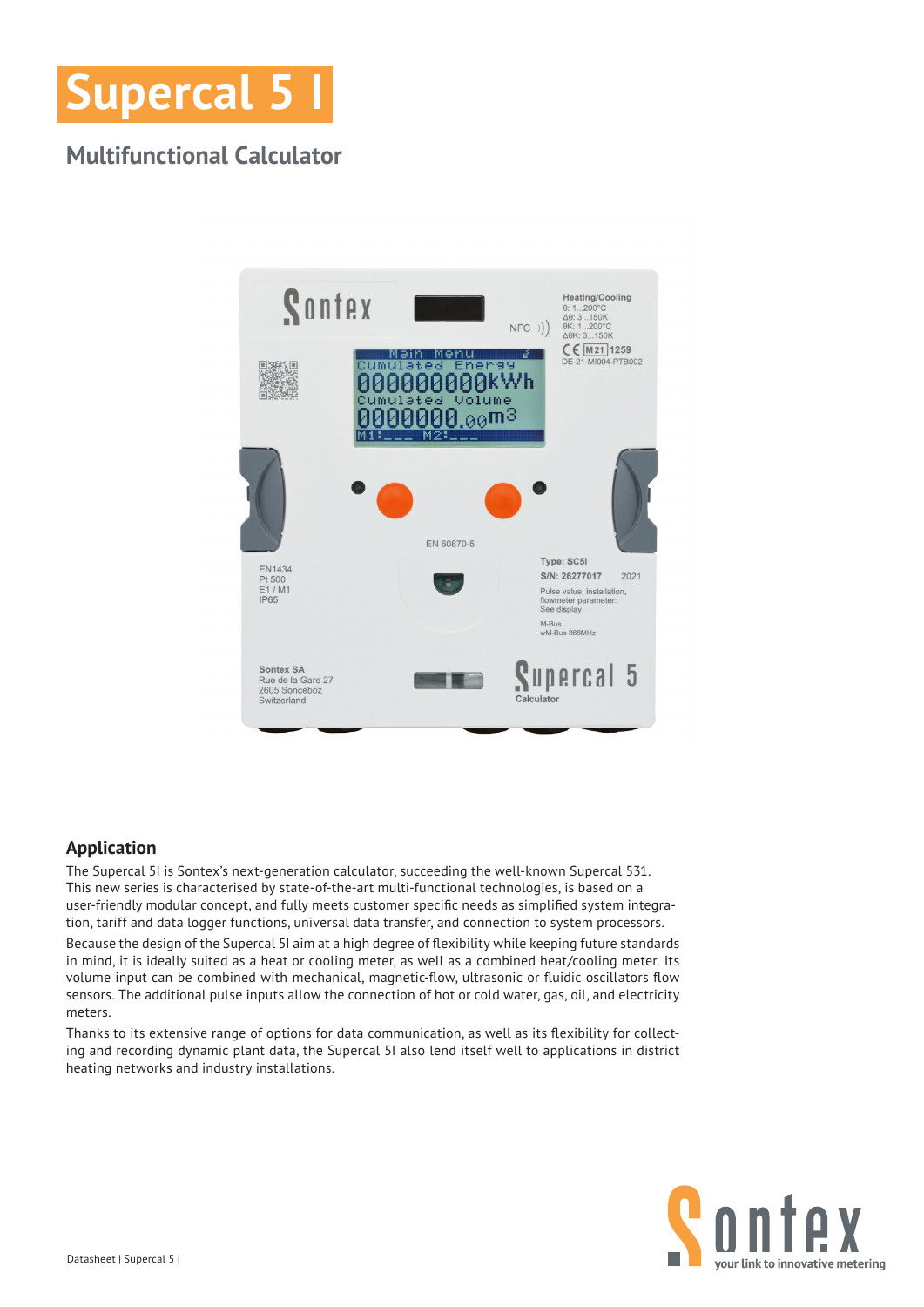

# **Multifunctional Calculator**



## **Application**

The Supercal 5I is Sontex's next-generation calculator, succeeding the well-known Supercal 531. This new series is characterised by state-of-the-art multi-functional technologies, is based on a user-friendly modular concept, and fully meets customer specific needs as simplified system integration, tariff and data logger functions, universal data transfer, and connection to system processors.

Because the design of the Supercal 5I aim at a high degree of flexibility while keeping future standards in mind, it is ideally suited as a heat or cooling meter, as well as a combined heat/cooling meter. Its volume input can be combined with mechanical, magnetic-flow, ultrasonic or fluidic oscillators flow sensors. The additional pulse inputs allow the connection of hot or cold water, gas, oil, and electricity meters.

Thanks to its extensive range of options for data communication, as well as its flexibility for collecting and recording dynamic plant data, the Supercal 5I also lend itself well to applications in district heating networks and industry installations.

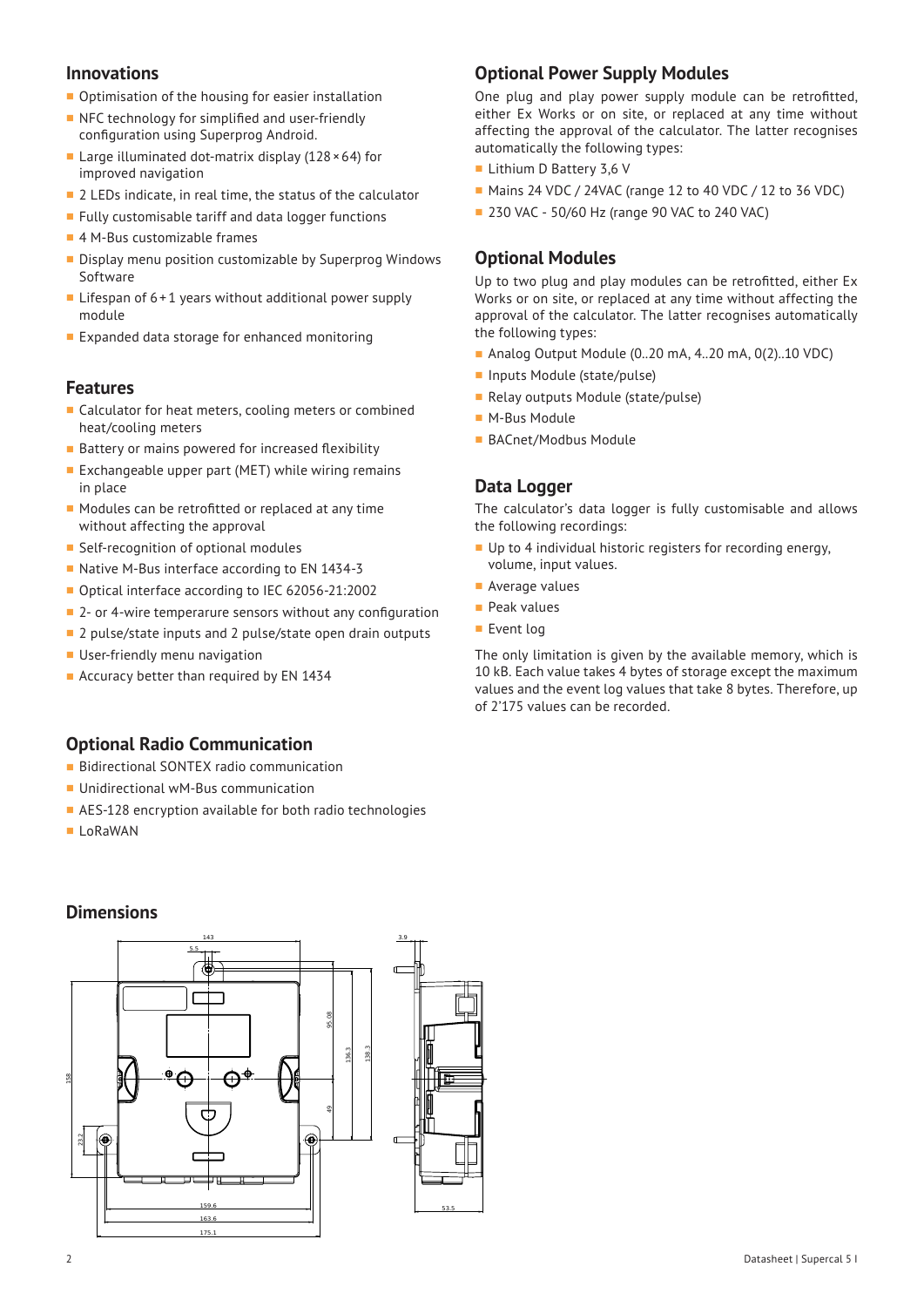#### **Innovations**

- Optimisation of the housing for easier installation
- NFC technology for simplified and user-friendly configuration using Superprog Android.
- Large illuminated dot-matrix display  $(128 \times 64)$  for improved navigation
- 2 LEDs indicate, in real time, the status of the calculator
- **Fully customisable tariff and data logger functions**
- 4 M-Bus customizable frames
- Display menu position customizable by Superprog Windows Software
- **Lifespan of 6+1 years without additional power supply** module
- **Expanded data storage for enhanced monitoring**

#### **Features**

- Calculator for heat meters, cooling meters or combined heat/cooling meters
- **Battery or mains powered for increased flexibility**
- Exchangeable upper part (MET) while wiring remains in place
- Modules can be retrofitted or replaced at any time without affecting the approval
- Self-recognition of optional modules
- Native M-Bus interface according to EN 1434-3
- Optical interface according to IEC 62056-21:2002
- 2- or 4-wire temperarure sensors without any configuration
- <sup>2</sup> 2 pulse/state inputs and 2 pulse/state open drain outputs
- **User-friendly menu navigation**
- **Accuracy better than required by EN 1434**

#### **Optional Radio Communication**

- **Bidirectional SONTEX radio communication**
- **Unidirectional wM-Bus communication**
- AES-128 encryption available for both radio technologies
- **LoRaWAN**

**Dimensions**

# **Optional Power Supply Modules**

One plug and play power supply module can be retrofitted, either Ex Works or on site, or replaced at any time without affecting the approval of the calculator. The latter recognises automatically the following types:

- Lithium D Battery 3,6 V
- **Mains 24 VDC / 24VAC (range 12 to 40 VDC / 12 to 36 VDC)**
- **230 VAC 50/60 Hz (range 90 VAC to 240 VAC)**

## **Optional Modules**

Up to two plug and play modules can be retrofitted, either Ex Works or on site, or replaced at any time without affecting the approval of the calculator. The latter recognises automatically the following types:

- Analog Output Module (0..20 mA, 4..20 mA, 0(2)..10 VDC)
- Inputs Module (state/pulse)
- Relay outputs Module (state/pulse)
- **M-Bus Module**
- BACnet/Modbus Module

#### **Data Logger**

The calculator's data logger is fully customisable and allows the following recordings:

- Up to 4 individual historic registers for recording energy, volume, input values.
- **Average values**
- **Peak values**
- Event log

The only limitation is given by the available memory, which is 10 kB. Each value takes 4 bytes of storage except the maximum values and the event log values that take 8 bytes. Therefore, up of 2'175 values can be recorded.

#### 143 5.5 95.08 138.3 136.3  $^{\circ}$ O  $\Theta$  158 49 23.2  $\widehat{\mathbf{e}}$  $\bigcirc$

 159.6 163.6

175.1



3.9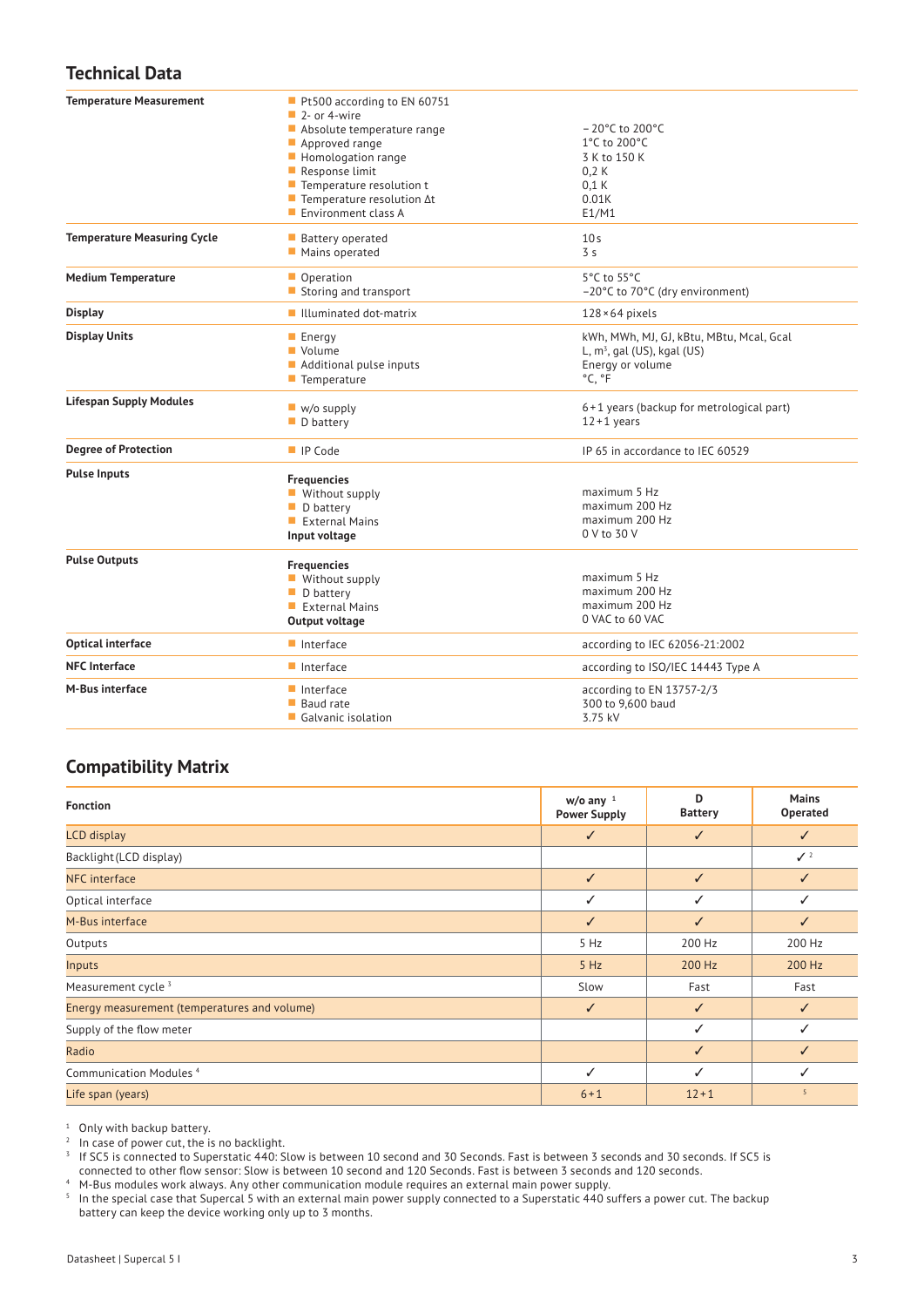# **Technical Data**

| <b>Temperature Measurement</b>     | Pt500 according to EN 60751<br>$\blacksquare$ 2- or 4-wire |                                          |  |
|------------------------------------|------------------------------------------------------------|------------------------------------------|--|
|                                    | Absolute temperature range                                 | $-20^{\circ}$ C to 200°C                 |  |
|                                    | Approved range                                             | 1°C to 200°C                             |  |
|                                    | Homologation range                                         | 3 K to 150 K                             |  |
|                                    | Response limit                                             | 0.2K                                     |  |
|                                    | $\blacksquare$ Temperature resolution t                    | 0.1K                                     |  |
|                                    | $\blacksquare$ Temperature resolution $\Delta t$           | 0.01K                                    |  |
|                                    | Environment class A                                        | E1/M1                                    |  |
| <b>Temperature Measuring Cycle</b> | <b>Battery operated</b>                                    | 10 <sub>s</sub>                          |  |
|                                    | Mains operated                                             | 3 <sub>s</sub>                           |  |
| <b>Medium Temperature</b>          | Operation                                                  | 5°C to 55°C                              |  |
|                                    | Storing and transport                                      | -20°C to 70°C (dry environment)          |  |
| <b>Display</b>                     | ■ Illuminated dot-matrix                                   | $128 \times 64$ pixels                   |  |
| <b>Display Units</b>               | $\blacksquare$ Energy                                      | kWh, MWh, MJ, GJ, kBtu, MBtu, Mcal, Gcal |  |
|                                    | Volume                                                     | L, $m^3$ , gal (US), kgal (US)           |  |
|                                    | Additional pulse inputs                                    | Energy or volume                         |  |
|                                    | $\blacksquare$ Temperature                                 | °C, °F                                   |  |
| <b>Lifespan Supply Modules</b>     | $\blacksquare$ w/o supply                                  | 6+1 years (backup for metrological part) |  |
|                                    | $\blacksquare$ D battery                                   | $12 + 1$ years                           |  |
| <b>Degree of Protection</b>        | ■ IP Code                                                  | IP 65 in accordance to IEC 60529         |  |
| <b>Pulse Inputs</b>                | <b>Frequencies</b>                                         |                                          |  |
|                                    | ■ Without supply                                           | maximum 5 Hz                             |  |
|                                    | $\blacksquare$ D battery                                   | maximum 200 Hz                           |  |
|                                    | $\blacksquare$ External Mains                              | maximum 200 Hz                           |  |
|                                    | Input voltage                                              | 0 V to 30 V                              |  |
| <b>Pulse Outputs</b>               | <b>Frequencies</b>                                         |                                          |  |
|                                    | ■ Without supply                                           | maximum 5 Hz                             |  |
|                                    | $\blacksquare$ D battery                                   | maximum 200 Hz                           |  |
|                                    | External Mains                                             | maximum 200 Hz                           |  |
|                                    | Output voltage                                             | 0 VAC to 60 VAC                          |  |
| <b>Optical interface</b>           | $\blacksquare$ Interface                                   | according to IEC 62056-21:2002           |  |
| <b>NFC</b> Interface               | $\blacksquare$ Interface                                   | according to ISO/IEC 14443 Type A        |  |
| <b>M-Bus interface</b>             | $\blacksquare$ Interface                                   | according to EN 13757-2/3                |  |
|                                    | ■ Baud rate                                                | 300 to 9,600 baud                        |  |
|                                    | ■ Galvanic isolation                                       | 3.75 kV                                  |  |

## **Compatibility Matrix**

| <b>Fonction</b>                              | $w/o$ any $1$<br><b>Power Supply</b> | D<br><b>Battery</b> | <b>Mains</b><br><b>Operated</b> |
|----------------------------------------------|--------------------------------------|---------------------|---------------------------------|
| <b>LCD</b> display                           | $\checkmark$                         | $\checkmark$        | ✓                               |
| Backlight (LCD display)                      |                                      |                     | $\sqrt{2}$                      |
| NFC interface                                | $\checkmark$                         | $\checkmark$        | ✓                               |
| Optical interface                            | ✓                                    | ✓                   | ✓                               |
| M-Bus interface                              | $\checkmark$                         | ✓                   | ✓                               |
| Outputs                                      | 5 Hz                                 | 200 Hz              | 200 Hz                          |
| Inputs                                       | 5 Hz                                 | 200 Hz              | 200 Hz                          |
| Measurement cycle <sup>3</sup>               | Slow                                 | Fast                | Fast                            |
| Energy measurement (temperatures and volume) | $\checkmark$                         | ✓                   | ✓                               |
| Supply of the flow meter                     |                                      | ✓                   | ✓                               |
| Radio                                        |                                      | ✓                   | ✓                               |
| Communication Modules <sup>4</sup>           | $\checkmark$                         | $\checkmark$        | ✓                               |
| Life span (years)                            | $6 + 1$                              | $12 + 1$            | 5                               |

<sup>1</sup> Only with backup battery.

<sup>2</sup> In case of power cut, the is no backlight.

 $3$  If SC5 is connected to Superstatic 440: Slow is between 10 second and 30 Seconds. Fast is between 3 seconds and 30 seconds. If SC5 is

connected to other flow sensor: Slow is between 10 second and 120 Seconds. Fast is between 3 seconds and 120 seconds. <sup>4</sup> M-Bus modules work always. Any other communication module requires an external main power supply.

 $5$  In the special case that Supercal 5 with an external main power supply connected to a Superstatic 440 suffers a power cut. The backup

battery can keep the device working only up to 3 months.